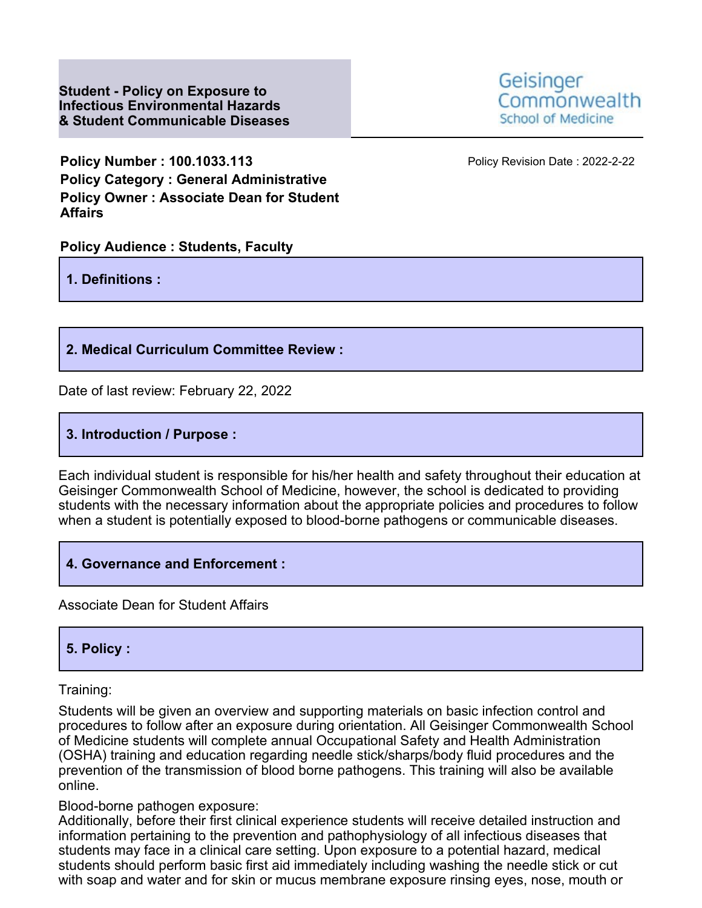**Student - Policy on Exposure to Infectious Environmental Hazards & Student Communicable Diseases** Geisinger Commonwealth **School of Medicine** 

**Policy Number : 100.1033.113** Policy Revision Date : 2022-2-22 **Policy Category : General Administrative Policy Owner : Associate Dean for Student Affairs**

## **Policy Audience : Students, Faculty**

**1. Definitions :**

### **2. Medical Curriculum Committee Review :**

Date of last review: February 22, 2022

## **3. Introduction / Purpose :**

Each individual student is responsible for his/her health and safety throughout their education at Geisinger Commonwealth School of Medicine, however, the school is dedicated to providing students with the necessary information about the appropriate policies and procedures to follow when a student is potentially exposed to blood-borne pathogens or communicable diseases.

### **4. Governance and Enforcement :**

Associate Dean for Student Affairs

## **5. Policy :**

Training:

Students will be given an overview and supporting materials on basic infection control and procedures to follow after an exposure during orientation. All Geisinger Commonwealth School of Medicine students will complete annual Occupational Safety and Health Administration (OSHA) training and education regarding needle stick/sharps/body fluid procedures and the prevention of the transmission of blood borne pathogens. This training will also be available online.

#### Blood-borne pathogen exposure:

Additionally, before their first clinical experience students will receive detailed instruction and information pertaining to the prevention and pathophysiology of all infectious diseases that students may face in a clinical care setting. Upon exposure to a potential hazard, medical students should perform basic first aid immediately including washing the needle stick or cut with soap and water and for skin or mucus membrane exposure rinsing eyes, nose, mouth or